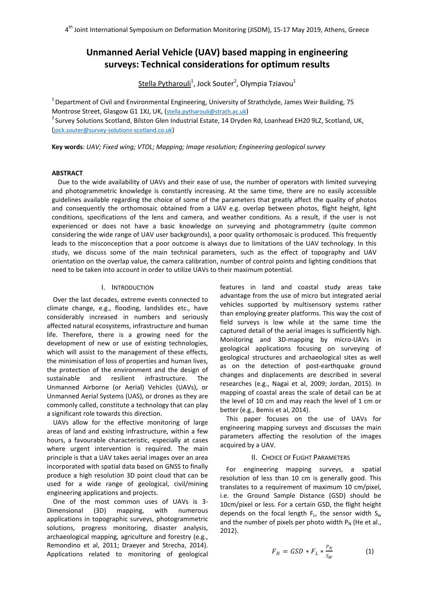# **Unmanned Aerial Vehicle (UAV) based mapping in engineering surveys: Technical considerations for optimum results**

 $Stella$  Pytharoul $i^1$ , Jock Souter<sup>2</sup>, Olympia Tziavou $^1$ 

 $1$  Department of Civil and Environmental Engineering, University of Strathclyde, James Weir Building, 75 Montrose Street, Glasgow G1 1XJ, UK, (stella.pytharouli@strath.ac.uk) <sup>2</sup> Survey Solutions Scotland, Bilston Glen Industrial Estate, 14 Dryden Rd, Loanhead EH20 9LZ, Scotland, UK,

(jock.souter@survey-solutions-scotland.co.uk)

**Key words**: *UAV; Fixed wing; VTOL; Mapping; Image resolution; Engineering geological survey*

## **ABSTRACT**

Due to the wide availability of UAVs and their ease of use, the number of operators with limited surveying and photogrammetric knowledge is constantly increasing. At the same time, there are no easily accessible guidelines available regarding the choice of some of the parameters that greatly affect the quality of photos and consequently the orthomosaic obtained from a UAV e.g. overlap between photos, flight height, light conditions, specifications of the lens and camera, and weather conditions. As a result, if the user is not experienced or does not have a basic knowledge on surveying and photogrammetry (quite common considering the wide range of UAV user backgrounds), a poor quality orthomosaic is produced. This frequently leads to the misconception that a poor outcome is always due to limitations of the UAV technology. In this study, we discuss some of the main technical parameters, such as the effect of topography and UAV orientation on the overlap value, the camera calibration, number of control points and lighting conditions that need to be taken into account in order to utilize UAVs to their maximum potential.

# I. INTRODUCTION

Over the last decades, extreme events connected to climate change, e.g., flooding, landslides etc., have considerably increased in numbers and seriously affected natural ecosystems, infrastructure and human life. Therefore, there is a growing need for the development of new or use of existing technologies, which will assist to the management of these effects, the minimisation of loss of properties and human lives, the protection of the environment and the design of sustainable and resilient infrastructure. The Unmanned Airborne (or Aerial) Vehicles (UAVs), or Unmanned Aerial Systems (UAS), or drones as they are commonly called, constitute a technology that can play a significant role towards this direction.

UAVs allow for the effective monitoring of large areas of land and existing infrastructure, within a few hours, a favourable characteristic, especially at cases where urgent intervention is required. The main principle is that a UAV takes aerial images over an area incorporated with spatial data based on GNSS to finally produce a high resolution 3D point cloud that can be used for a wide range of geological, civil/mining engineering applications and projects.

One of the most common uses of UAVs is 3- Dimensional (3D) mapping, with numerous applications in topographic surveys, photogrammetric solutions, progress monitoring, disaster analysis, archaeological mapping, agriculture and forestry (e.g., Remondino et al, 2011; Draeyer and Strecha, 2014). Applications related to monitoring of geological

features in land and coastal study areas take advantage from the use of micro but integrated aerial vehicles supported by multisensory systems rather than employing greater platforms. This way the cost of field surveys is low while at the same time the captured detail of the aerial images is sufficiently high. Monitoring and 3D-mapping by micro-UAVs in geological applications focusing on surveying of geological structures and archaeological sites as well as on the detection of post-earthquake ground changes and displacements are described in several researches (e.g., Nagai et al, 2009; Jordan, 2015). In mapping of coastal areas the scale of detail can be at the level of 10 cm and may reach the level of 1 cm or better (e.g., Bemis et al, 2014).

This paper focuses on the use of UAVs for engineering mapping surveys and discusses the main parameters affecting the resolution of the images acquired by a UAV.

## II. CHOICE OF FLIGHT PARAMETERS

For engineering mapping surveys, a spatial resolution of less than 10 cm is generally good. This translates to a requirement of maximum 10 cm/pixel, i.e. the Ground Sample Distance (GSD) should be 10cm/pixel or less. For a certain GSD, the flight height depends on the focal length  $F_{L}$ , the sensor width  $S_{w}$ and the number of pixels per photo width  $P_N$  (He et al., 2012).

$$
F_H = GSD \ast F_L \ast \frac{P_N}{S_W} \tag{1}
$$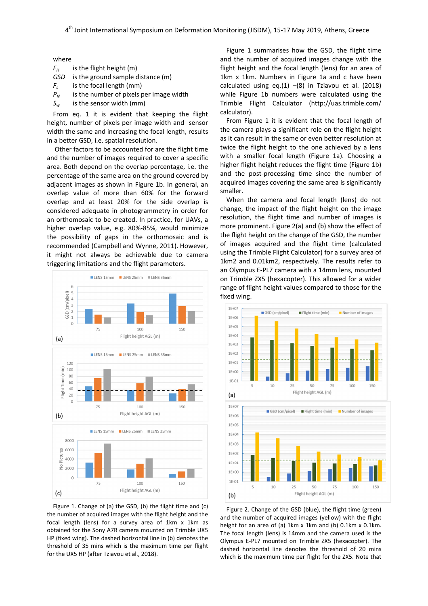#### where

- $F_H$  is the flight height (m)
- *GSD* is the ground sample distance (m)
- *FL* is the focal length (mm)
- *PN* is the number of pixels per image width
- *Sw* is the sensor width (mm)

From eq. 1 it is evident that keeping the flight height, number of pixels per image width and sensor width the same and increasing the focal length, results in a better GSD, i.e. spatial resolution.

 Other factors to be accounted for are the flight time and the number of images required to cover a specific area. Both depend on the overlap percentage, i.e. the percentage of the same area on the ground covered by adjacent images as shown in Figure 1b. In general, an overlap value of more than 60% for the forward overlap and at least 20% for the side overlap is considered adequate in photogrammetry in order for an orthomosaic to be created. In practice, for UAVs, a higher overlap value, e.g. 80%-85%, would minimize the possibility of gaps in the orthomosaic and is recommended (Campbell and Wynne, 2011). However, it might not always be achievable due to camera triggering limitations and the flight parameters.



Figure 1. Change of (a) the GSD, (b) the flight time and (c) the number of acquired images with the flight height and the focal length (lens) for a survey area of 1km x 1km as obtained for the Sony A7R camera mounted on Trimble UX5 HP (fixed wing). The dashed horizontal line in (b) denotes the threshold of 35 mins which is the maximum time per flight for the UX5 HP (after Tziavou et al., 2018).

Figure 1 summarises how the GSD, the flight time and the number of acquired images change with the flight height and the focal length (lens) for an area of 1km x 1km. Numbers in Figure 1a and c have been calculated using eq. $(1)$  – $(8)$  in Tziavou et al. (2018) while Figure 1b numbers were calculated using the Trimble Flight Calculator (http://uas.trimble.com/ calculator).

From Figure 1 it is evident that the focal length of the camera plays a significant role on the flight height as it can result in the same or even better resolution at twice the flight height to the one achieved by a lens with a smaller focal length (Figure 1a). Choosing a higher flight height reduces the flight time (Figure 1b) and the post-processing time since the number of acquired images covering the same area is significantly smaller.

When the camera and focal length (lens) do not change, the impact of the flight height on the image resolution, the flight time and number of images is more prominent. Figure 2(a) and (b) show the effect of the flight height on the change of the GSD, the number of images acquired and the flight time (calculated using the Trimble Flight Calculator) for a survey area of 1km2 and 0.01km2, respectively. The results refer to an Olympus E-PL7 camera with a 14mm lens, mounted on Trimble ZX5 (hexacopter). This allowed for a wider range of flight height values compared to those for the fixed wing.



Figure 2. Change of the GSD (blue), the flight time (green) and the number of acquired images (yellow) with the flight height for an area of (a) 1km x 1km and (b) 0.1km x 0.1km. The focal length (lens) is 14mm and the camera used is the Olympus E-PL7 mounted on Trimble ZX5 (hexacopter). The dashed horizontal line denotes the threshold of 20 mins which is the maximum time per flight for the ZX5. Note that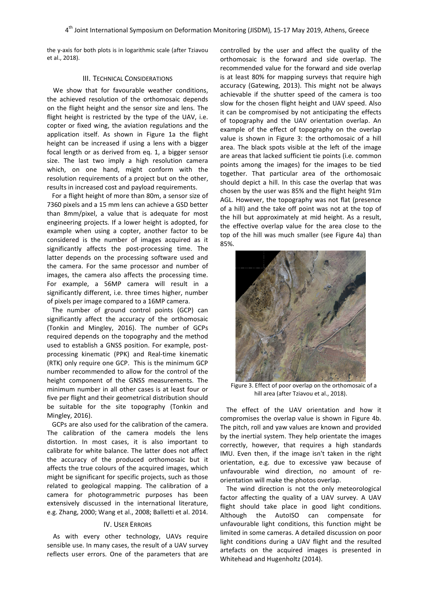the y-axis for both plots is in logarithmic scale (after Tziavou et al., 2018).

#### III. TECHNICAL CONSIDERATIONS

We show that for favourable weather conditions, the achieved resolution of the orthomosaic depends on the flight height and the sensor size and lens. The flight height is restricted by the type of the UAV, i.e. copter or fixed wing, the aviation regulations and the application itself. As shown in Figure 1a the flight height can be increased if using a lens with a bigger focal length or as derived from eq. 1, a bigger sensor size. The last two imply a high resolution camera which, on one hand, might conform with the resolution requirements of a project but on the other, results in increased cost and payload requirements.

For a flight height of more than 80m, a sensor size of 7360 pixels and a 15 mm lens can achieve a GSD better than 8mm/pixel, a value that is adequate for most engineering projects. If a lower height is adopted, for example when using a copter, another factor to be considered is the number of images acquired as it significantly affects the post-processing time. The latter depends on the processing software used and the camera. For the same processor and number of images, the camera also affects the processing time. For example, a 56MP camera will result in a significantly different, i.e. three times higher, number of pixels per image compared to a 16MP camera.

The number of ground control points (GCP) can significantly affect the accuracy of the orthomosaic (Tonkin and Mingley, 2016). The number of GCPs required depends on the topography and the method used to establish a GNSS position. For example, postprocessing kinematic (PPK) and Real-time kinematic (RTK) only require one GCP. This is the minimum GCP number recommended to allow for the control of the height component of the GNSS measurements. The minimum number in all other cases is at least four or five per flight and their geometrical distribution should be suitable for the site topography (Tonkin and Mingley, 2016).

GCPs are also used for the calibration of the camera. The calibration of the camera models the lens distortion. In most cases, it is also important to calibrate for white balance. The latter does not affect the accuracy of the produced orthomosaic but it affects the true colours of the acquired images, which might be significant for specific projects, such as those related to geological mapping. The calibration of a camera for photogrammetric purposes has been extensively discussed in the international literature, e.g. Zhang, 2000; Wang et al., 2008; Balletti et al. 2014.

#### IV. USER ERRORS

As with every other technology, UAVs require sensible use. In many cases, the result of a UAV survey reflects user errors. One of the parameters that are controlled by the user and affect the quality of the orthomosaic is the forward and side overlap. The recommended value for the forward and side overlap is at least 80% for mapping surveys that require high accuracy (Gatewing, 2013). This might not be always achievable if the shutter speed of the camera is too slow for the chosen flight height and UAV speed. Also it can be compromised by not anticipating the effects of topography and the UAV orientation overlap. An example of the effect of topography on the overlap value is shown in Figure 3: the orthomosaic of a hill area. The black spots visible at the left of the image are areas that lacked sufficient tie points (i.e. common points among the images) for the images to be tied together. That particular area of the orthomosaic should depict a hill. In this case the overlap that was chosen by the user was 85% and the flight height 91m AGL. However, the topography was not flat (presence of a hill) and the take off point was not at the top of the hill but approximately at mid height. As a result, the effective overlap value for the area close to the top of the hill was much smaller (see Figure 4a) than 85%.



Figure 3. Effect of poor overlap on the orthomosaic of a hill area (after Tziavou et al., 2018).

The effect of the UAV orientation and how it compromises the overlap value is shown in Figure 4b. The pitch, roll and yaw values are known and provided by the inertial system. They help orientate the images correctly, however, that requires a high standards IMU. Even then, if the image isn't taken in the right orientation, e.g. due to excessive yaw because of unfavourable wind direction, no amount of reorientation will make the photos overlap.

The wind direction is not the only meteorological factor affecting the quality of a UAV survey. A UAV flight should take place in good light conditions. Although the AutoISO can compensate for unfavourable light conditions, this function might be limited in some cameras. A detailed discussion on poor light conditions during a UAV flight and the resulted artefacts on the acquired images is presented in Whitehead and Hugenholtz (2014).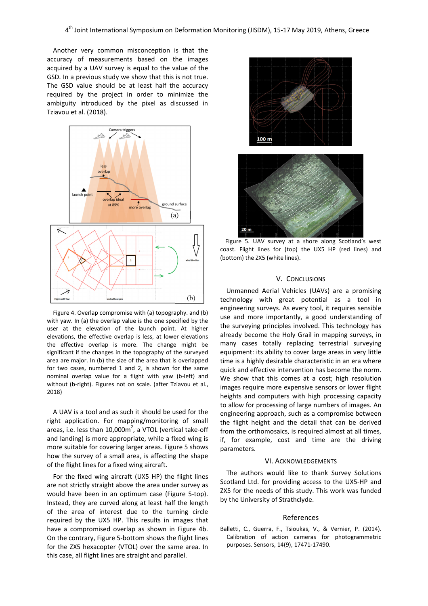Another very common misconception is that the accuracy of measurements based on the images acquired by a UAV survey is equal to the value of the GSD. In a previous study we show that this is not true. The GSD value should be at least half the accuracy required by the project in order to minimize the ambiguity introduced by the pixel as discussed in Tziavou et al. (2018).



Figure 4. Overlap compromise with (a) topography. and (b) with yaw. In (a) the overlap value is the one specified by the user at the elevation of the launch point. At higher elevations, the effective overlap is less, at lower elevations the effective overlap is more. The change might be significant if the changes in the topography of the surveyed area are major. In (b) the size of the area that is overlapped for two cases, numbered 1 and 2, is shown for the same nominal overlap value for a flight with yaw (b-left) and without (b-right). Figures not on scale. (after Tziavou et al., 2018)

A UAV is a tool and as such it should be used for the right application. For mapping/monitoring of small areas, i.e. less than 10,000 $m^2$ , a VTOL (vertical take-off and landing) is more appropriate, while a fixed wing is more suitable for covering larger areas. Figure 5 shows how the survey of a small area, is affecting the shape of the flight lines for a fixed wing aircraft.

For the fixed wing aircraft (UX5 HP) the flight lines are not strictly straight above the area under survey as would have been in an optimum case (Figure 5-top). Instead, they are curved along at least half the length of the area of interest due to the turning circle required by the UX5 HP. This results in images that have a compromised overlap as shown in Figure 4b. On the contrary, Figure 5-bottom shows the flight lines for the ZX5 hexacopter (VTOL) over the same area. In this case, all flight lines are straight and parallel.



Figure 5. UAV survey at a shore along Scotland's west coast. Flight lines for (top) the UX5 HP (red lines) and (bottom) the ZX5 (white lines).

# V. CONCLUSIONS

Unmanned Aerial Vehicles (UAVs) are a promising technology with great potential as a tool in engineering surveys. As every tool, it requires sensible use and more importantly, a good understanding of the surveying principles involved. This technology has already become the Holy Grail in mapping surveys, in many cases totally replacing terrestrial surveying equipment: its ability to cover large areas in very little time is a highly desirable characteristic in an era where quick and effective intervention has become the norm. We show that this comes at a cost; high resolution images require more expensive sensors or lower flight heights and computers with high processing capacity to allow for processing of large numbers of images. An engineering approach, such as a compromise between the flight height and the detail that can be derived from the orthomosaics, is required almost at all times, if, for example, cost and time are the driving parameters.

## VI. ACKNOWLEDGEMENTS

The authors would like to thank Survey Solutions Scotland Ltd. for providing access to the UX5-HP and ZX5 for the needs of this study. This work was funded by the University of Strathclyde.

#### References

Balletti, C., Guerra, F., Tsioukas, V., & Vernier, P. (2014). Calibration of action cameras for photogrammetric purposes. Sensors, 14(9), 17471-17490.